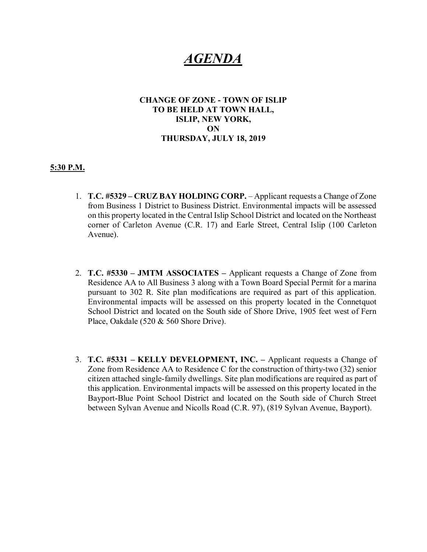# *AGENDA*

### **CHANGE OF ZONE - TOWN OF ISLIP TO BE HELD AT TOWN HALL, ISLIP, NEW YORK, ON THURSDAY, JULY 18, 2019**

#### **5:30 P.M.**

- 1. **T.C. #5329 CRUZ BAY HOLDING CORP.** Applicant requests a Change of Zone from Business 1 District to Business District. Environmental impacts will be assessed on this property located in the Central Islip School District and located on the Northeast corner of Carleton Avenue (C.R. 17) and Earle Street, Central Islip (100 Carleton Avenue).
- 2. **T.C. #5330 JMTM ASSOCIATES** Applicant requests a Change of Zone from Residence AA to All Business 3 along with a Town Board Special Permit for a marina pursuant to 302 R. Site plan modifications are required as part of this application. Environmental impacts will be assessed on this property located in the Connetquot School District and located on the South side of Shore Drive, 1905 feet west of Fern Place, Oakdale (520 & 560 Shore Drive).
- 3. **T.C. #5331 KELLY DEVELOPMENT, INC.** Applicant requests a Change of Zone from Residence AA to Residence C for the construction of thirty-two (32) senior citizen attached single-family dwellings. Site plan modifications are required as part of this application. Environmental impacts will be assessed on this property located in the Bayport-Blue Point School District and located on the South side of Church Street between Sylvan Avenue and Nicolls Road (C.R. 97), (819 Sylvan Avenue, Bayport).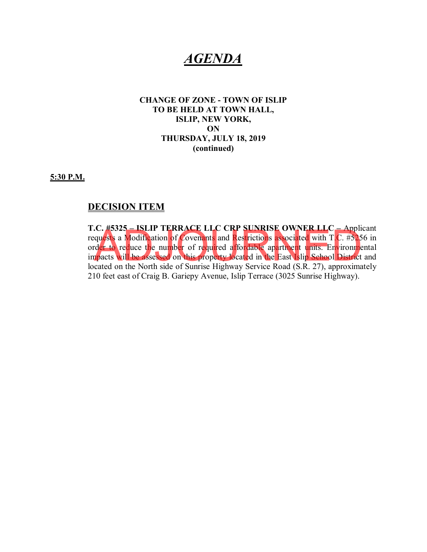## *AGENDA*

### **CHANGE OF ZONE - TOWN OF ISLIP TO BE HELD AT TOWN HALL, ISLIP, NEW YORK, ON THURSDAY, JULY 18, 2019 (continued)**

**5:30 P.M.**

### **DECISION ITEM**

**T.C. #5325 – ISLIP TERRACE LLC CRP SUNRISE OWNER LLC –** Applicant requests a Modification of Covenants and Restrictions associated with T.C. #5256 in order to reduce the number of required affordable apartment units. Environmental impacts will be assessed on this property located in the East Islip School District and located on the North side of Sunrise Highway Service Road (S.R. 27), approximately 210 feet east of Craig B. Gariepy Avenue, Islip Terrace (3025 Sunrise Highway). Let to reduce the number of required affordable apartment units. Environment to reduce the number of required affordable apartment units. Environment pacts will be assessed on this property located in the East Islip School